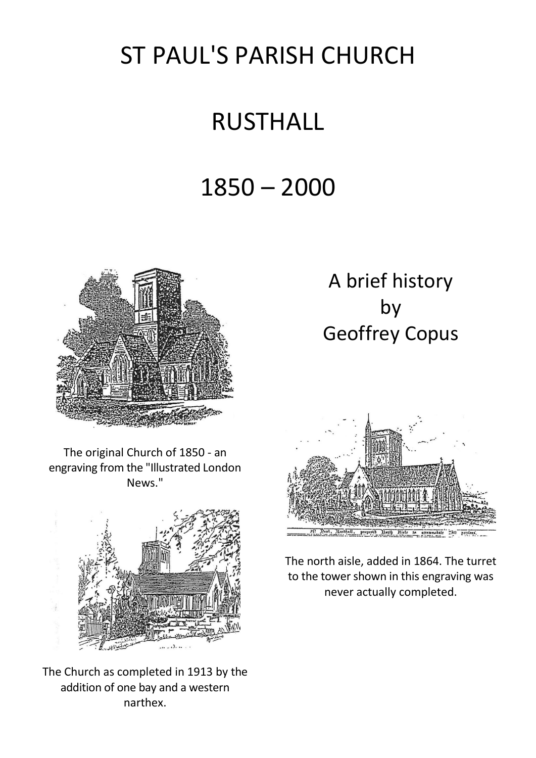## ST PAUL'S PARISH CHURCH

## RUSTHALL

## 1850 – 2000



The original Church of 1850 - an engraving from the "Illustrated London News."



The Church as completed in 1913 by the addition of one bay and a western narthex.

## A brief history by Geoffrey Copus



The north aisle, added in 1864. The turret to the tower shown in this engraving was never actually completed.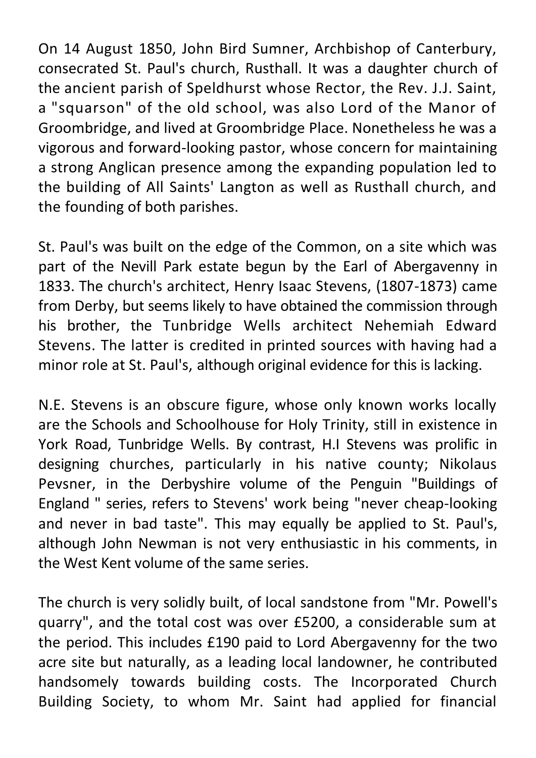On 14 August 1850, John Bird Sumner, Archbishop of Canterbury, consecrated St. Paul's church, Rusthall. It was a daughter church of the ancient parish of Speldhurst whose Rector, the Rev. J.J. Saint, a "squarson" of the old school, was also Lord of the Manor of Groombridge, and lived at Groombridge Place. Nonetheless he was a vigorous and forward-looking pastor, whose concern for maintaining a strong Anglican presence among the expanding population led to the building of All Saints' Langton as well as Rusthall church, and the founding of both parishes.

St. Paul's was built on the edge of the Common, on a site which was part of the Nevill Park estate begun by the Earl of Abergavenny in 1833. The church's architect, Henry Isaac Stevens, (1807-1873) came from Derby, but seems likely to have obtained the commission through his brother, the Tunbridge Wells architect Nehemiah Edward Stevens. The latter is credited in printed sources with having had a minor role at St. Paul's, although original evidence for this is lacking.

N.E. Stevens is an obscure figure, whose only known works locally are the Schools and Schoolhouse for Holy Trinity, still in existence in York Road, Tunbridge Wells. By contrast, H.I Stevens was prolific in designing churches, particularly in his native county; Nikolaus Pevsner, in the Derbyshire volume of the Penguin "Buildings of England " series, refers to Stevens' work being "never cheap-looking and never in bad taste". This may equally be applied to St. Paul's, although John Newman is not very enthusiastic in his comments, in the West Kent volume of the same series.

The church is very solidly built, of local sandstone from "Mr. Powell's quarry", and the total cost was over £5200, a considerable sum at the period. This includes £190 paid to Lord Abergavenny for the two acre site but naturally, as a leading local landowner, he contributed handsomely towards building costs. The Incorporated Church Building Society, to whom Mr. Saint had applied for financial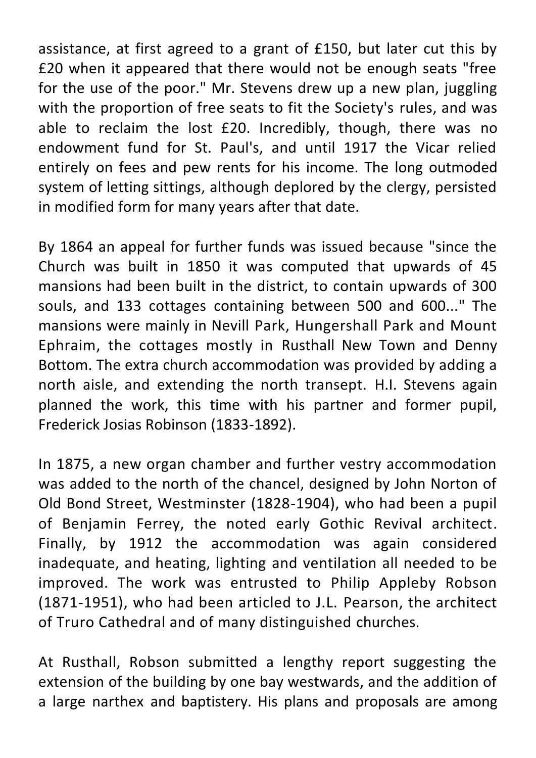assistance, at first agreed to a grant of £150, but later cut this by £20 when it appeared that there would not be enough seats "free for the use of the poor." Mr. Stevens drew up a new plan, juggling with the proportion of free seats to fit the Society's rules, and was able to reclaim the lost £20. Incredibly, though, there was no endowment fund for St. Paul's, and until 1917 the Vicar relied entirely on fees and pew rents for his income. The long outmoded system of letting sittings, although deplored by the clergy, persisted in modified form for many years after that date.

By 1864 an appeal for further funds was issued because "since the Church was built in 1850 it was computed that upwards of 45 mansions had been built in the district, to contain upwards of 300 souls, and 133 cottages containing between 500 and 600..." The mansions were mainly in Nevill Park, Hungershall Park and Mount Ephraim, the cottages mostly in Rusthall New Town and Denny Bottom. The extra church accommodation was provided by adding a north aisle, and extending the north transept. H.I. Stevens again planned the work, this time with his partner and former pupil, Frederick Josias Robinson (1833-1892).

In 1875, a new organ chamber and further vestry accommodation was added to the north of the chancel, designed by John Norton of Old Bond Street, Westminster (1828-1904), who had been a pupil of Benjamin Ferrey, the noted early Gothic Revival architect. Finally, by 1912 the accommodation was again considered inadequate, and heating, lighting and ventilation all needed to be improved. The work was entrusted to Philip Appleby Robson (1871-1951), who had been articled to J.L. Pearson, the architect of Truro Cathedral and of many distinguished churches.

At Rusthall, Robson submitted a lengthy report suggesting the extension of the building by one bay westwards, and the addition of a large narthex and baptistery. His plans and proposals are among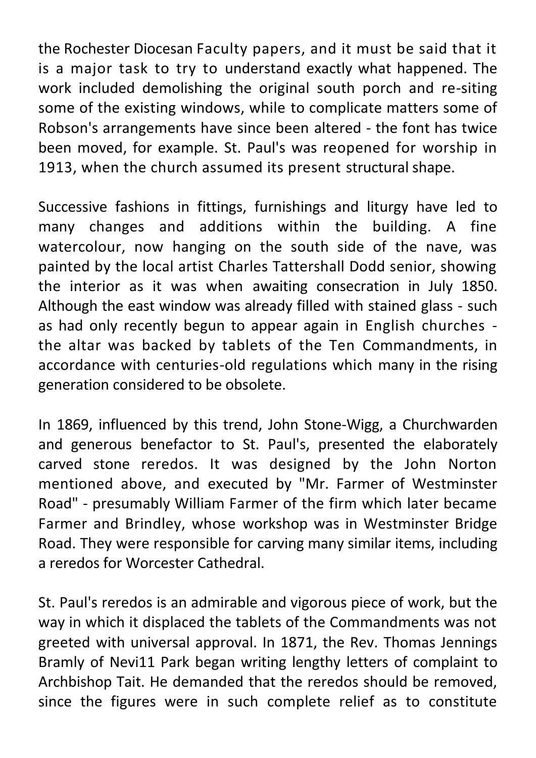the Rochester Diocesan Faculty papers, and it must be said that it is a major task to try to understand exactly what happened. The work included demolishing the original south porch and re-siting some of the existing windows, while to complicate matters some of Robson's arrangements have since been altered - the font has twice been moved, for example. St. Paul's was reopened for worship in 1913, when the church assumed its present structural shape.

Successive fashions in fittings, furnishings and liturgy have led to many changes and additions within the building. A fine watercolour, now hanging on the south side of the nave, was painted by the local artist Charles Tattershall Dodd senior, showing the interior as it was when awaiting consecration in July 1850. Although the east window was already filled with stained glass - such as had only recently begun to appear again in English churches the altar was backed by tablets of the Ten Commandments, in accordance with centuries-old regulations which many in the rising generation considered to be obsolete.

In 1869, influenced by this trend, John Stone-Wigg, a Churchwarden and generous benefactor to St. Paul's, presented the elaborately carved stone reredos. It was designed by the John Norton mentioned above, and executed by "Mr. Farmer of Westminster Road" - presumably William Farmer of the firm which later became Farmer and Brindley, whose workshop was in Westminster Bridge Road. They were responsible for carving many similar items, including a reredos for Worcester Cathedral.

St. Paul's reredos is an admirable and vigorous piece of work, but the way in which it displaced the tablets of the Commandments was not greeted with universal approval. In 1871, the Rev. Thomas Jennings Bramly of Nevi11 Park began writing lengthy letters of complaint to Archbishop Tait. He demanded that the reredos should be removed, since the figures were in such complete relief as to constitute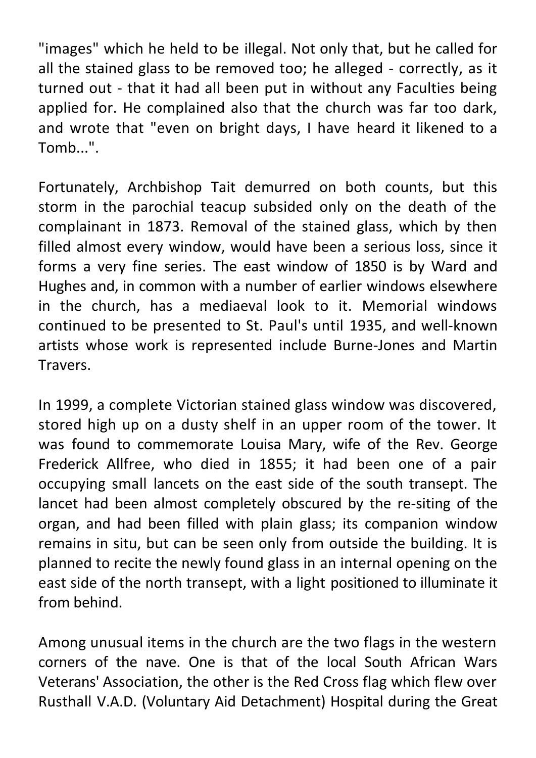"images" which he held to be illegal. Not only that, but he called for all the stained glass to be removed too; he alleged - correctly, as it turned out - that it had all been put in without any Faculties being applied for. He complained also that the church was far too dark, and wrote that "even on bright days, I have heard it likened to a Tomb...".

Fortunately, Archbishop Tait demurred on both counts, but this storm in the parochial teacup subsided only on the death of the complainant in 1873. Removal of the stained glass, which by then filled almost every window, would have been a serious loss, since it forms a very fine series. The east window of 1850 is by Ward and Hughes and, in common with a number of earlier windows elsewhere in the church, has a mediaeval look to it. Memorial windows continued to be presented to St. Paul's until 1935, and well-known artists whose work is represented include Burne-Jones and Martin Travers.

In 1999, a complete Victorian stained glass window was discovered, stored high up on a dusty shelf in an upper room of the tower. It was found to commemorate Louisa Mary, wife of the Rev. George Frederick Allfree, who died in 1855; it had been one of a pair occupying small lancets on the east side of the south transept. The lancet had been almost completely obscured by the re-siting of the organ, and had been filled with plain glass; its companion window remains in situ, but can be seen only from outside the building. It is planned to recite the newly found glass in an internal opening on the east side of the north transept, with a light positioned to illuminate it from behind.

Among unusual items in the church are the two flags in the western corners of the nave. One is that of the local South African Wars Veterans' Association, the other is the Red Cross flag which flew over Rusthall V.A.D. (Voluntary Aid Detachment) Hospital during the Great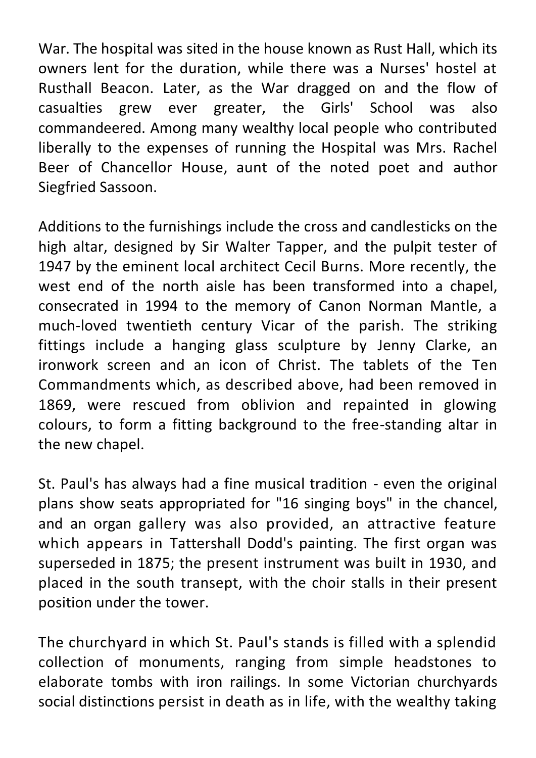War. The hospital was sited in the house known as Rust Hall, which its owners lent for the duration, while there was a Nurses' hostel at Rusthall Beacon. Later, as the War dragged on and the flow of casualties grew ever greater, the Girls' School was also commandeered. Among many wealthy local people who contributed liberally to the expenses of running the Hospital was Mrs. Rachel Beer of Chancellor House, aunt of the noted poet and author Siegfried Sassoon.

Additions to the furnishings include the cross and candlesticks on the high altar, designed by Sir Walter Tapper, and the pulpit tester of 1947 by the eminent local architect Cecil Burns. More recently, the west end of the north aisle has been transformed into a chapel, consecrated in 1994 to the memory of Canon Norman Mantle, a much-loved twentieth century Vicar of the parish. The striking fittings include a hanging glass sculpture by Jenny Clarke, an ironwork screen and an icon of Christ. The tablets of the Ten Commandments which, as described above, had been removed in 1869, were rescued from oblivion and repainted in glowing colours, to form a fitting background to the free-standing altar in the new chapel.

St. Paul's has always had a fine musical tradition - even the original plans show seats appropriated for "16 singing boys" in the chancel, and an organ gallery was also provided, an attractive feature which appears in Tattershall Dodd's painting. The first organ was superseded in 1875; the present instrument was built in 1930, and placed in the south transept, with the choir stalls in their present position under the tower.

The churchyard in which St. Paul's stands is filled with a splendid collection of monuments, ranging from simple headstones to elaborate tombs with iron railings. In some Victorian churchyards social distinctions persist in death as in life, with the wealthy taking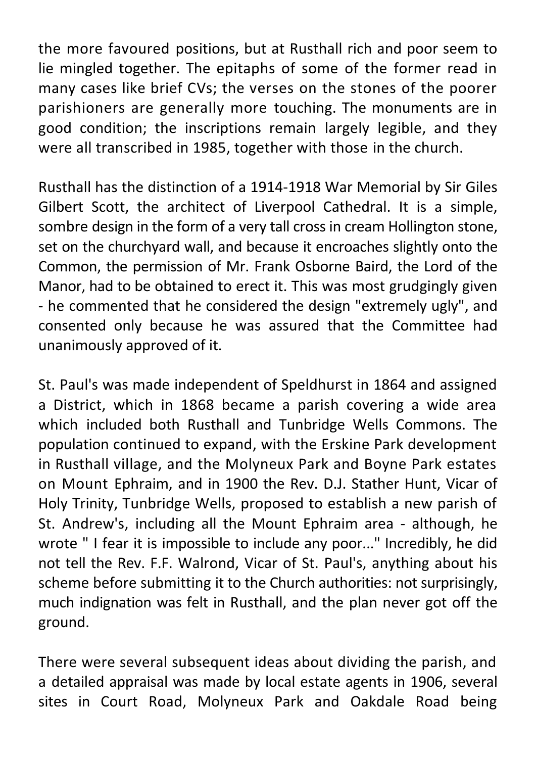the more favoured positions, but at Rusthall rich and poor seem to lie mingled together. The epitaphs of some of the former read in many cases like brief CVs; the verses on the stones of the poorer parishioners are generally more touching. The monuments are in good condition; the inscriptions remain largely legible, and they were all transcribed in 1985, together with those in the church.

Rusthall has the distinction of a 1914-1918 War Memorial by Sir Giles Gilbert Scott, the architect of Liverpool Cathedral. It is a simple, sombre design in the form of a very tall cross in cream Hollington stone, set on the churchyard wall, and because it encroaches slightly onto the Common, the permission of Mr. Frank Osborne Baird, the Lord of the Manor, had to be obtained to erect it. This was most grudgingly given - he commented that he considered the design "extremely ugly", and consented only because he was assured that the Committee had unanimously approved of it.

St. Paul's was made independent of Speldhurst in 1864 and assigned a District, which in 1868 became a parish covering a wide area which included both Rusthall and Tunbridge Wells Commons. The population continued to expand, with the Erskine Park development in Rusthall village, and the Molyneux Park and Boyne Park estates on Mount Ephraim, and in 1900 the Rev. D.J. Stather Hunt, Vicar of Holy Trinity, Tunbridge Wells, proposed to establish a new parish of St. Andrew's, including all the Mount Ephraim area - although, he wrote " I fear it is impossible to include any poor..." Incredibly, he did not tell the Rev. F.F. Walrond, Vicar of St. Paul's, anything about his scheme before submitting it to the Church authorities: not surprisingly, much indignation was felt in Rusthall, and the plan never got off the ground.

There were several subsequent ideas about dividing the parish, and a detailed appraisal was made by local estate agents in 1906, several sites in Court Road, Molyneux Park and Oakdale Road being